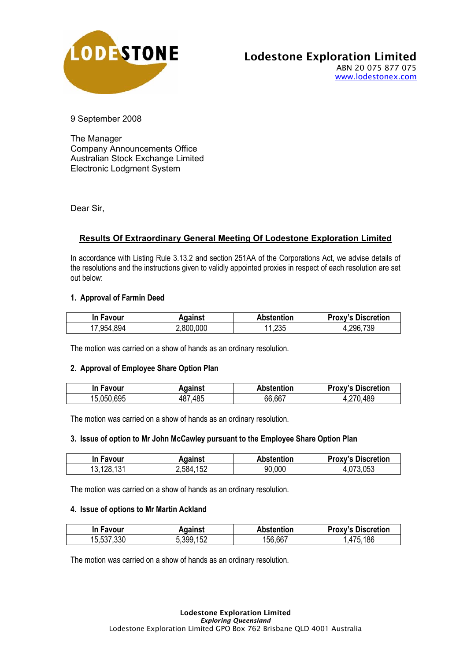

## Lodestone Exploration Limited ABN 20 075 877 075 www.lodestonex.com

9 September 2008

The Manager Company Announcements Office Australian Stock Exchange Limited Electronic Lodgment System

Dear Sir,

# **Results Of Extraordinary General Meeting Of Lodestone Exploration Limited**

In accordance with Listing Rule 3.13.2 and section 251AA of the Corporations Act, we advise details of the resolutions and the instructions given to validly appointed proxies in respect of each resolution are set out below:

## **1. Approval of Farmin Deed**

| In Favour     | Aqainst   | Abstention | <b>Proxy's Discretion</b> |
|---------------|-----------|------------|---------------------------|
| 894<br>17,954 | 2,800,000 | 11,235     | 296,739                   |

The motion was carried on a show of hands as an ordinary resolution.

#### **2. Approval of Employee Share Option Plan**

| In Favour      | Against     | <b>Abstention</b> | <b>Proxy's Discretion</b> |
|----------------|-------------|-------------------|---------------------------|
| .695<br>15,050 | 487<br>.485 | 66,667            | 489                       |

The motion was carried on a show of hands as an ordinary resolution.

#### **3. Issue of option to Mr John McCawley pursuant to the Employee Share Option Plan**

| In Favour  | Aqainst       | Abstention | <b>Proxy's Discretion</b> |
|------------|---------------|------------|---------------------------|
| 13,128,131 | .152<br>2,584 | 90,000     | 053                       |

The motion was carried on a show of hands as an ordinary resolution.

#### **4. Issue of options to Mr Martin Ackland**

| In Favour  | Against   | <b>Abstention</b> | <b>Proxy's Discretion</b> |
|------------|-----------|-------------------|---------------------------|
| 15,537,330 | 5,399,152 | 156,667           | .186<br>.475              |

The motion was carried on a show of hands as an ordinary resolution.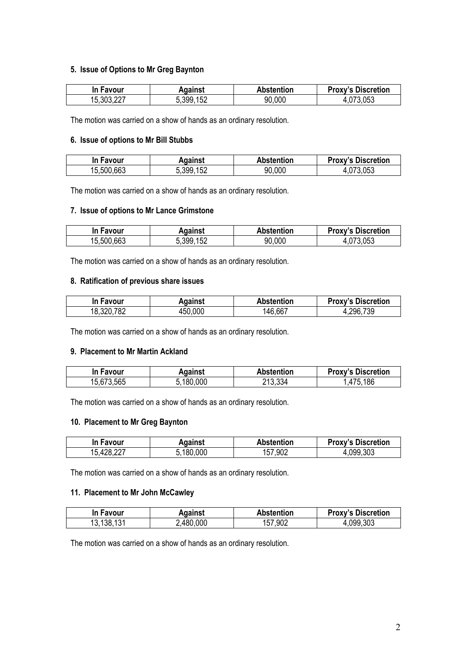## **5. Issue of Options to Mr Greg Baynton**

| In Favour  | Against   | <b>Abstention</b> | <b>Proxy's Discretion</b> |
|------------|-----------|-------------------|---------------------------|
| 15,303,227 | 5,399,152 | 90,000            | 4,073,053                 |

The motion was carried on a show of hands as an ordinary resolution.

#### **6. Issue of options to Mr Bill Stubbs**

| In Favour  | Aqainst   | <b>Abstention</b> | <b>Proxy's Discretion</b> |
|------------|-----------|-------------------|---------------------------|
| 15,500,663 | 5,399,152 | 90,000            | .053                      |

The motion was carried on a show of hands as an ordinary resolution.

## **7. Issue of options to Mr Lance Grimstone**

| In Favour  | Against   | <b>Abstention</b> | <b>Proxy's Discretion</b> |
|------------|-----------|-------------------|---------------------------|
| 15,500,663 | 5,399,152 | 90,000            | 1,073,053                 |

The motion was carried on a show of hands as an ordinary resolution.

### **8. Ratification of previous share issues**

| In Favour  | Against | <b>Abstention</b> | <b>Proxy's Discretion</b> |
|------------|---------|-------------------|---------------------------|
| 18,320,782 | 450,000 | 146,667           | 4,296,739                 |

The motion was carried on a show of hands as an ordinary resolution.

### **9. Placement to Mr Martin Ackland**

| In Favour  | Against   | <b>Abstention</b> | <b>Proxy's Discretion</b> |
|------------|-----------|-------------------|---------------------------|
| 15,673,565 | 5.180.000 | 213,334           | 186<br>.475               |

The motion was carried on a show of hands as an ordinary resolution.

## **10. Placement to Mr Greg Baynton**

| In Favour        | Against  | <b>Abstention</b> | <b>Proxy's Discretion</b> |
|------------------|----------|-------------------|---------------------------|
| 227<br>15,428,22 | .180.000 | 157,902           | 4,099,303                 |

The motion was carried on a show of hands as an ordinary resolution.

## **11. Placement to Mr John McCawley**

| In Favour  | Aqainst   | <b>Abstention</b> | <b>Proxy's Discretion</b> |
|------------|-----------|-------------------|---------------------------|
| 13,138,131 | 2,480,000 | 157,902           | 4,099,303                 |

The motion was carried on a show of hands as an ordinary resolution.